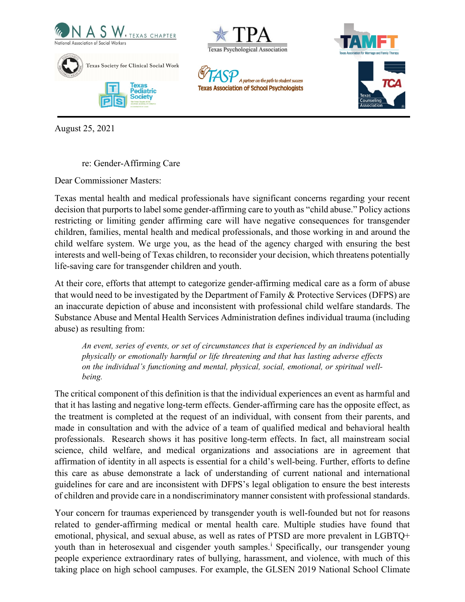





**Texas Association of School Psychologists** 

A partner on the path to student succes



August 25, 2021

re: Gender-Affirming Care

Dear Commissioner Masters:

Texas mental health and medical professionals have significant concerns regarding your recent decision that purports to label some gender-affirming care to youth as "child abuse." Policy actions restricting or limiting gender affirming care will have negative consequences for transgender children, families, mental health and medical professionals, and those working in and around the child welfare system. We urge you, as the head of the agency charged with ensuring the best interests and well-being of Texas children, to reconsider your decision, which threatens potentially life-saving care for transgender children and youth.

At their core, efforts that attempt to categorize gender-affirming medical care as a form of abuse that would need to be investigated by the Department of Family & Protective Services (DFPS) are an inaccurate depiction of abuse and inconsistent with professional child welfare standards. The Substance Abuse and Mental Health Services Administration defines individual trauma (including abuse) as resulting from:

*An event, series of events, or set of circumstances that is experienced by an individual as physically or emotionally harmful or life threatening and that has lasting adverse effects on the individual's functioning and mental, physical, social, emotional, or spiritual wellbeing.*

The critical component of this definition is that the individual experiences an event as harmful and that it has lasting and negative long-term effects. Gender-affirming care has the opposite effect, as the treatment is completed at the request of an individual, with consent from their parents, and made in consultation and with the advice of a team of qualified medical and behavioral health professionals. Research shows it has positive long-term effects. In fact, all mainstream social science, child welfare, and medical organizations and associations are in agreement that affirmation of identity in all aspects is essential for a child's well-being. Further, efforts to define this care as abuse demonstrate a lack of understanding of current national and international guidelines for care and are inconsistent with DFPS's legal obligation to ensure the best interests of children and provide care in a nondiscriminatory manner consistent with professional standards.

Your concern for traumas experienced by transgender youth is well-founded but not for reasons related to gender-affirming medical or mental health care. Multiple studies have found that emotional, physical, and sexual abuse, as well as rates of PTSD are more prevalent in LGBTQ+ youth than [i](#page-2-0)n heterosexual and cisgender youth samples.<sup>i</sup> Specifically, our transgender young people experience extraordinary rates of bullying, harassment, and violence, with much of this taking place on high school campuses. For example, the GLSEN 2019 National School Climate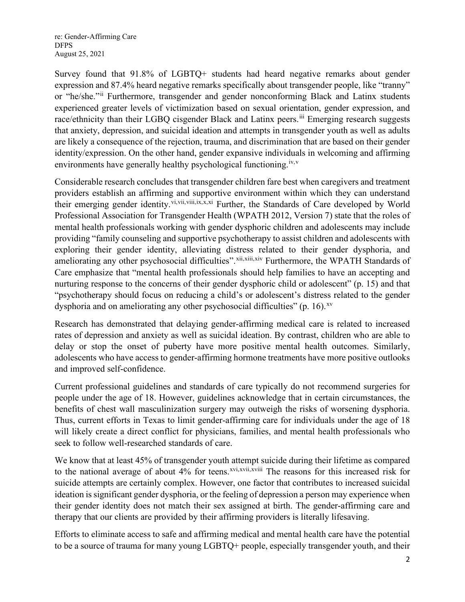re: Gender-Affirming Care DFPS August 25, 2021

Survey found that 91.8% of LGBTQ+ students had heard negative remarks about gender expression and 87.4% heard negative remarks specifically about transgender people, like "tranny" or "he/she."[ii](#page-2-1) Furthermore, transgender and gender nonconforming Black and Latinx students experienced greater levels of victimization based on sexual orientation, gender expression, and race/ethnicity than their LGBQ cisgender Black and Latinx peers.<sup>[iii](#page-2-2)</sup> Emerging research suggests that anxiety, depression, and suicidal ideation and attempts in transgender youth as well as adults are likely a consequence of the rejection, trauma, and discrimination that are based on their gender identity/expression. On the other hand, gender expansive individuals in welcoming and affirming environments have generally healthy psychological functioning.<sup>[iv,](#page-2-3)[v](#page-2-4)</sup>

Considerable research concludes that transgender children fare best when caregivers and treatment providers establish an affirming and supportive environment within which they can understand their emerging gender identity.<sup>[vi,](#page-2-5)[vii,](#page-2-6)[viii](#page-2-7),[ix](#page-3-0),[x,](#page-3-1)[xi](#page-3-2)</sup> Further, the Standards of Care developed by World Professional Association for Transgender Health (WPATH 2012, Version 7) state that the roles of mental health professionals working with gender dysphoric children and adolescents may include providing "family counseling and supportive psychotherapy to assist children and adolescents with exploring their gender identity, alleviating distress related to their gender dysphoria, and ameliorating any other psychosocial difficulties". Xii, Xiii, Xiv Furthermore, the WPATH Standards of Care emphasize that "mental health professionals should help families to have an accepting and nurturing response to the concerns of their gender dysphoric child or adolescent" (p. 15) and that "psychotherapy should focus on reducing a child's or adolescent's distress related to the gender dysphoria and on ameliorating any other psychosocial difficulties" (p. 16). $x<sub>v</sub>$ 

Research has demonstrated that delaying gender-affirming medical care is related to increased rates of depression and anxiety as well as suicidal ideation. By contrast, children who are able to delay or stop the onset of puberty have more positive mental health outcomes. Similarly, adolescents who have access to gender-affirming hormone treatments have more positive outlooks and improved self-confidence.

Current professional guidelines and standards of care typically do not recommend surgeries for people under the age of 18. However, guidelines acknowledge that in certain circumstances, the benefits of chest wall masculinization surgery may outweigh the risks of worsening dysphoria. Thus, current efforts in Texas to limit gender-affirming care for individuals under the age of 18 will likely create a direct conflict for physicians, families, and mental health professionals who seek to follow well-researched standards of care.

We know that at least 45% of transgender youth attempt [su](#page-3-9)icide during their lifetime as compared to the national average of about 4% for teens.<sup>[xvi](#page-3-7),[xvii](#page-3-8),xviii</sup> The reasons for this increased risk for suicide attempts are certainly complex. However, one factor that contributes to increased suicidal ideation is significant gender dysphoria, or the feeling of depression a person may experience when their gender identity does not match their sex assigned at birth. The gender-affirming care and therapy that our clients are provided by their affirming providers is literally lifesaving.

Efforts to eliminate access to safe and affirming medical and mental health care have the potential to be a source of trauma for many young LGBTQ+ people, especially transgender youth, and their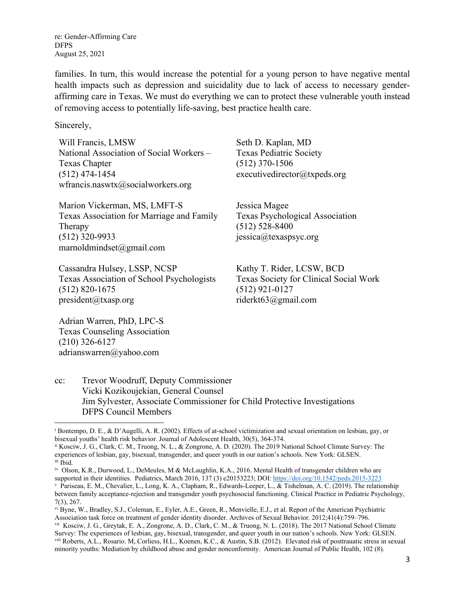re: Gender-Affirming Care DFPS August 25, 2021

families. In turn, this would increase the potential for a young person to have negative mental health impacts such as depression and suicidality due to lack of access to necessary genderaffirming care in Texas. We must do everything we can to protect these vulnerable youth instead of removing access to potentially life-saving, best practice health care.

Sincerely,

Will Francis, LMSW National Association of Social Workers – Texas Chapter (512) 474-1454 wfrancis.naswtx $@$ socialworkers.org

Marion Vickerman, MS, LMFT-S Texas Association for Marriage and Family Therapy (512) 320-9933 marnoldmindset@gmail.com

Cassandra Hulsey, LSSP, NCSP Texas Association of School Psychologists (512) 820-1675 president@txasp.org

Adrian Warren, PhD, LPC-S Texas Counseling Association (210) 326-6127

adrianswarren@yahoo.com

Seth D. Kaplan, MD Texas Pediatric Society (512) 370-1506 executivedirector@txpeds.org

Jessica Magee Texas Psychological Association (512) 528-8400 jessica@texaspsyc.org

Kathy T. Rider, LCSW, BCD Texas Society for Clinical Social Work (512) 921-0127 riderkt63@gmail.com

cc: Trevor Woodruff, Deputy Commissioner Vicki Kozikoujekian, General Counsel Jim Sylvester, Associate Commissioner for Child Protective Investigations DFPS Council Members

<span id="page-2-0"></span><sup>i</sup> Bontempo, D. E., & D'Augelli, A. R. (2002). Effects of at-school victimization and sexual orientation on lesbian, gay, or bisexual youths' health risk behavior. Journal of Adolescent Health, 30(5), 364-374.

<span id="page-2-1"></span>ii Kosciw, J. G., Clark, C. M., Truong, N. L., & Zongrone, A. D. (2020). The 2019 National School Climate Survey: The experiences of lesbian, gay, bisexual, transgender, and queer youth in our nation's schools. New York: GLSEN. iii Ibid.

<span id="page-2-3"></span><span id="page-2-2"></span>iv Olson, K.R., Durwood, L., DeMeules, M & McLaughlin, K.A., 2016. Mental Health of transgender children who are supported in their identities. Pediatrics, March 2016, 137 (3) e20153223; DOI: <https://doi.org/10.1542/peds.2015-3223>

<span id="page-2-4"></span><sup>v</sup> Pariseau, E. M., Chevalier, L., Long, K. A., Clapham, R., Edwards-Leeper, L., & Tishelman, A. C. (2019). The relationship between family acceptance-rejection and transgender youth psychosocial functioning. Clinical Practice in Pediatric Psychology, 7(3), 267.

<span id="page-2-5"></span>vi Byne, W., Bradley, S.J., Coleman, E., Eyler, A.E., Green, R., Menvielle, E.J., et al. Report of the American Psychiatric Association task force on treatment of gender identity disorder. Archives of Sexual Behavior. 2012;41(4):759–796.

<span id="page-2-7"></span><span id="page-2-6"></span>vii Kosciw, J. G., Greytak, E. A., Zongrone, A. D., Clark, C. M., & Truong, N. L. (2018). The 2017 National School Climate Survey: The experiences of lesbian, gay, bisexual, transgender, and queer youth in our nation's schools. New York: GLSEN. viii Roberts, A.L., Rosario. M, Corliess, H.L., Koenen, K.C., & Austin, S.B. (2012). Elevated risk of posttrauatic stress in sexual minority youths: Mediation by childhood abuse and gender nonconformity. American Journal of Public Health, 102 (8).